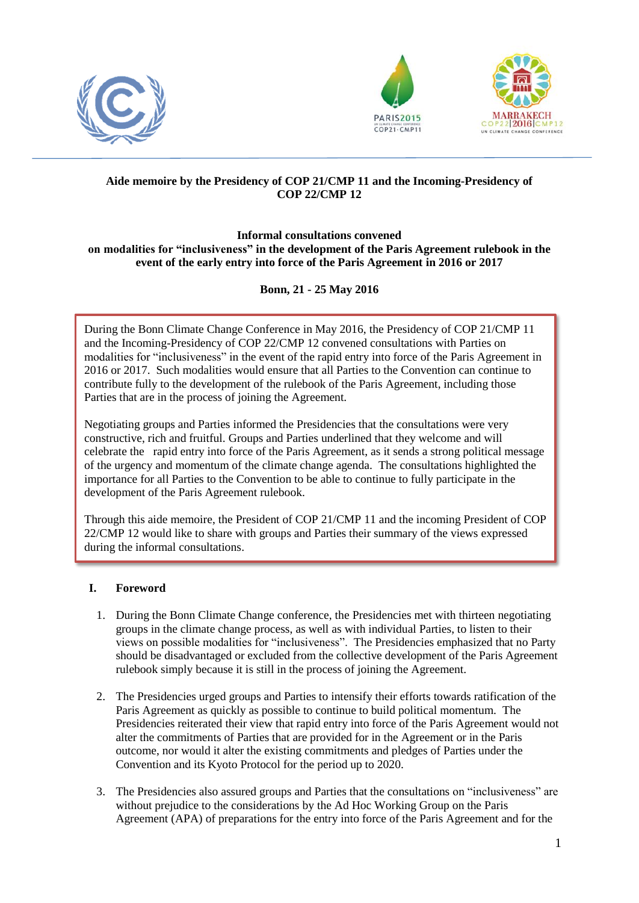





# **Aide memoire by the Presidency of COP 21/CMP 11 and the Incoming-Presidency of COP 22/CMP 12**

#### **Informal consultations convened on modalities for "inclusiveness" in the development of the Paris Agreement rulebook in the event of the early entry into force of the Paris Agreement in 2016 or 2017**

# **Bonn, 21 - 25 May 2016**

During the Bonn Climate Change Conference in May 2016, the Presidency of COP 21/CMP 11 and the Incoming-Presidency of COP 22/CMP 12 convened consultations with Parties on modalities for "inclusiveness" in the event of the rapid entry into force of the Paris Agreement in 2016 or 2017. Such modalities would ensure that all Parties to the Convention can continue to contribute fully to the development of the rulebook of the Paris Agreement, including those Parties that are in the process of joining the Agreement.

Negotiating groups and Parties informed the Presidencies that the consultations were very constructive, rich and fruitful. Groups and Parties underlined that they welcome and will celebrate the rapid entry into force of the Paris Agreement, as it sends a strong political message of the urgency and momentum of the climate change agenda. The consultations highlighted the importance for all Parties to the Convention to be able to continue to fully participate in the development of the Paris Agreement rulebook.

Through this aide memoire, the President of COP 21/CMP 11 and the incoming President of COP 22/CMP 12 would like to share with groups and Parties their summary of the views expressed during the informal consultations.

### **I. Foreword**

- 1. During the Bonn Climate Change conference, the Presidencies met with thirteen negotiating groups in the climate change process, as well as with individual Parties, to listen to their views on possible modalities for "inclusiveness". The Presidencies emphasized that no Party should be disadvantaged or excluded from the collective development of the Paris Agreement rulebook simply because it is still in the process of joining the Agreement.
- 2. The Presidencies urged groups and Parties to intensify their efforts towards ratification of the Paris Agreement as quickly as possible to continue to build political momentum. The Presidencies reiterated their view that rapid entry into force of the Paris Agreement would not alter the commitments of Parties that are provided for in the Agreement or in the Paris outcome, nor would it alter the existing commitments and pledges of Parties under the Convention and its Kyoto Protocol for the period up to 2020.
- 3. The Presidencies also assured groups and Parties that the consultations on "inclusiveness" are without prejudice to the considerations by the Ad Hoc Working Group on the Paris Agreement (APA) of preparations for the entry into force of the Paris Agreement and for the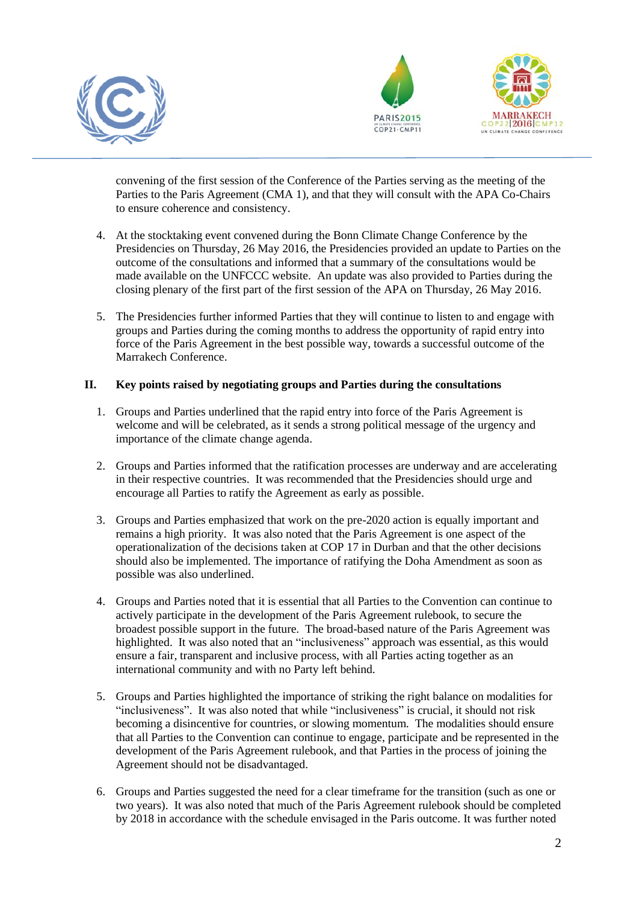





convening of the first session of the Conference of the Parties serving as the meeting of the Parties to the Paris Agreement (CMA 1), and that they will consult with the APA Co-Chairs to ensure coherence and consistency.

- 4. At the stocktaking event convened during the Bonn Climate Change Conference by the Presidencies on Thursday, 26 May 2016, the Presidencies provided an update to Parties on the outcome of the consultations and informed that a summary of the consultations would be made available on the UNFCCC website. An update was also provided to Parties during the closing plenary of the first part of the first session of the APA on Thursday, 26 May 2016.
- 5. The Presidencies further informed Parties that they will continue to listen to and engage with groups and Parties during the coming months to address the opportunity of rapid entry into force of the Paris Agreement in the best possible way, towards a successful outcome of the Marrakech Conference.

#### **II. Key points raised by negotiating groups and Parties during the consultations**

- 1. Groups and Parties underlined that the rapid entry into force of the Paris Agreement is welcome and will be celebrated, as it sends a strong political message of the urgency and importance of the climate change agenda.
- 2. Groups and Parties informed that the ratification processes are underway and are accelerating in their respective countries. It was recommended that the Presidencies should urge and encourage all Parties to ratify the Agreement as early as possible.
- 3. Groups and Parties emphasized that work on the pre-2020 action is equally important and remains a high priority. It was also noted that the Paris Agreement is one aspect of the operationalization of the decisions taken at COP 17 in Durban and that the other decisions should also be implemented. The importance of ratifying the Doha Amendment as soon as possible was also underlined.
- 4. Groups and Parties noted that it is essential that all Parties to the Convention can continue to actively participate in the development of the Paris Agreement rulebook, to secure the broadest possible support in the future. The broad-based nature of the Paris Agreement was highlighted. It was also noted that an "inclusiveness" approach was essential, as this would ensure a fair, transparent and inclusive process, with all Parties acting together as an international community and with no Party left behind.
- 5. Groups and Parties highlighted the importance of striking the right balance on modalities for "inclusiveness". It was also noted that while "inclusiveness" is crucial, it should not risk becoming a disincentive for countries, or slowing momentum. The modalities should ensure that all Parties to the Convention can continue to engage, participate and be represented in the development of the Paris Agreement rulebook, and that Parties in the process of joining the Agreement should not be disadvantaged.
- 6. Groups and Parties suggested the need for a clear timeframe for the transition (such as one or two years). It was also noted that much of the Paris Agreement rulebook should be completed by 2018 in accordance with the schedule envisaged in the Paris outcome. It was further noted